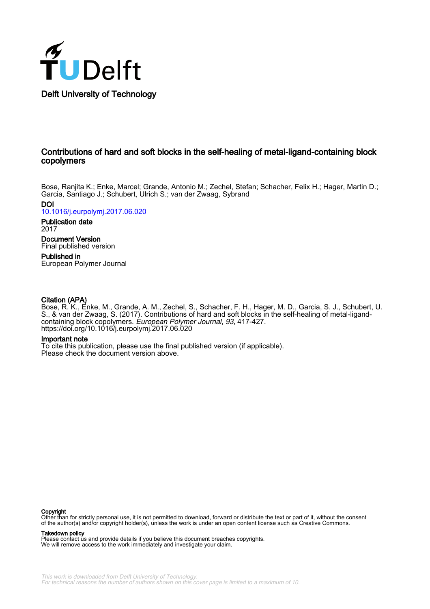

# Contributions of hard and soft blocks in the self-healing of metal-ligand-containing block copolymers

Bose, Ranjita K.; Enke, Marcel; Grande, Antonio M.; Zechel, Stefan; Schacher, Felix H.; Hager, Martin D.; Garcia, Santiago J.; Schubert, Ulrich S.; van der Zwaag, Sybrand

DOI [10.1016/j.eurpolymj.2017.06.020](https://doi.org/10.1016/j.eurpolymj.2017.06.020)

Publication date 2017

Document Version Final published version Published in

European Polymer Journal

# Citation (APA)

Bose, R. K., Enke, M., Grande, A. M., Zechel, S., Schacher, F. H., Hager, M. D., Garcia, S. J., Schubert, U. S., & van der Zwaag, S. (2017). Contributions of hard and soft blocks in the self-healing of metal-ligandcontaining block copolymers. European Polymer Journal, 93, 417-427. <https://doi.org/10.1016/j.eurpolymj.2017.06.020>

# Important note

To cite this publication, please use the final published version (if applicable). Please check the document version above.

# **Copyright**

Other than for strictly personal use, it is not permitted to download, forward or distribute the text or part of it, without the consent<br>of the author(s) and/or copyright holder(s), unless the work is under an open content

Takedown policy

Please contact us and provide details if you believe this document breaches copyrights. We will remove access to the work immediately and investigate your claim.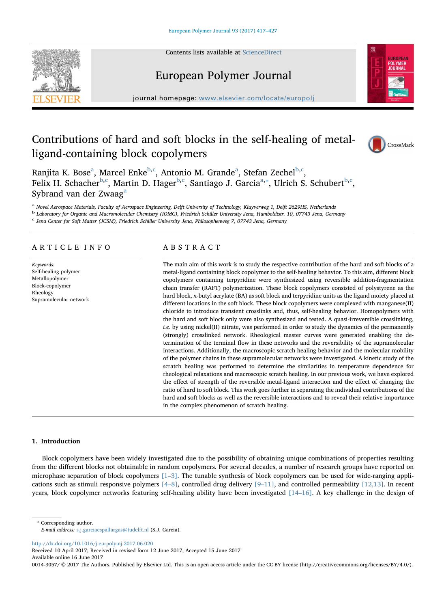Contents lists available at [ScienceDirect](http://www.sciencedirect.com/science/journal/00143057)





# European Polymer Journal

journal homepage: [www.elsevier.com/locate/europolj](http://www.elsevier.com/locate/europolj)

# Contributions of hard and soft blocks in the self-healing of metalligand-containing block copolymers



R[a](#page-1-0)njita K. Bose<sup>a</sup>, Marcel Enke<sup>[b](#page-1-1)[,c](#page-1-2)</sup>, Antonio M. Grande<sup>a</sup>, Stefan Zechel<sup>b,c</sup>, Felix H. Schacher<sup>[b](#page-1-1)[,c](#page-1-2)</sup>, Martin D. Hager<sup>[b,](#page-1-1)[c](#page-1-2)</sup>, Santiago J. Garcia<sup>[a,](#page-1-0)\*</sup>, Ulrich S. Schubert<sup>b,c</sup>, Sybr[a](#page-1-0)nd van der Zwaag<sup>a</sup>

<span id="page-1-0"></span><sup>a</sup> Novel Aerospace Materials, Faculty of Aerospace Engineering, Delft University of Technology, Kluyverweg 1, Delft 2629HS, Netherlands

<span id="page-1-2"></span><span id="page-1-1"></span><sup>b</sup> Laboratory for Organic and Macromolecular Chemistry (IOMC), Friedrich Schiller University Jena, Humboldtstr. 10, 07743 Jena, Germany <sup>c</sup> Jena Center for Soft Matter (JCSM), Friedrich Schiller University Jena, Philosophenweg 7, 07743 Jena, Germany

# ARTICLE INFO

Keywords: Self-healing polymer Metallopolymer Block-copolymer Rheology Supramolecular network

# ABSTRACT

The main aim of this work is to study the respective contribution of the hard and soft blocks of a metal-ligand containing block copolymer to the self-healing behavior. To this aim, different block copolymers containing terpyridine were synthesized using reversible addition-fragmentation chain transfer (RAFT) polymerization. These block copolymers consisted of polystyrene as the hard block, n-butyl acrylate (BA) as soft block and terpyridine units as the ligand moiety placed at different locations in the soft block. These block copolymers were complexed with manganese(II) chloride to introduce transient crosslinks and, thus, self-healing behavior. Homopolymers with the hard and soft block only were also synthesized and tested. A quasi-irreversible crosslinking,  $i.e.$  by using nickel(II) nitrate, was performed in order to study the dynamics of the permanently (strongly) crosslinked network. Rheological master curves were generated enabling the determination of the terminal flow in these networks and the reversibility of the supramolecular interactions. Additionally, the macroscopic scratch healing behavior and the molecular mobility of the polymer chains in these supramolecular networks were investigated. A kinetic study of the scratch healing was performed to determine the similarities in temperature dependence for rheological relaxations and macroscopic scratch healing. In our previous work, we have explored the effect of strength of the reversible metal-ligand interaction and the effect of changing the ratio of hard to soft block. This work goes further in separating the individual contributions of the hard and soft blocks as well as the reversible interactions and to reveal their relative importance in the complex phenomenon of scratch healing.

# 1. Introduction

Block copolymers have been widely investigated due to the possibility of obtaining unique combinations of properties resulting from the different blocks not obtainable in random copolymers. For several decades, a number of research groups have reported on microphase separation of block copolymers [1–[3\].](#page-10-0) The tunable synthesis of block copolymers can be used for wide-ranging applications such as stimuli responsive polymers [4–[8\],](#page-10-1) controlled drug delivery [9–[11\],](#page-10-2) and controlled permeability [\[12,13\].](#page-10-3) In recent years, block copolymer networks featuring self-healing ability have been investigated [\[14](#page-10-4)–16]. A key challenge in the design of

<span id="page-1-3"></span>⁎ Corresponding author.

<http://dx.doi.org/10.1016/j.eurpolymj.2017.06.020>

Received 10 April 2017; Received in revised form 12 June 2017; Accepted 15 June 2017

Available online 16 June 2017

0014-3057/ © 2017 The Authors. Published by Elsevier Ltd. This is an open access article under the CC BY license (http://creativecommons.org/licenses/BY/4.0/).

E-mail address: [s.j.garciaespallargas@tudelft.nl](mailto:s.j.garciaespallargas@tudelft.nl) (S.J. Garcia).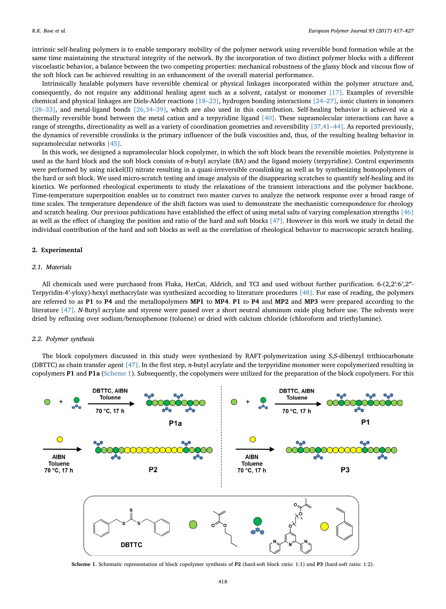intrinsic self-healing polymers is to enable temporary mobility of the polymer network using reversible bond formation while at the same time maintaining the structural integrity of the network. By the incorporation of two distinct polymer blocks with a different viscoelastic behavior, a balance between the two competing properties: mechanical robustness of the glassy block and viscous flow of the soft block can be achieved resulting in an enhancement of the overall material performance.

Intrinsically healable polymers have reversible chemical or physical linkages incorporated within the polymer structure and, consequently, do not require any additional healing agent such as a solvent, catalyst or monomer [\[17\].](#page-10-5) Examples of reversible chemical and physical linkages are Diels-Alder reactions [\[18](#page-10-6)–23], hydrogen bonding interactions [24–[27\],](#page-11-0) ionic clusters in ionomers [28–[33\],](#page-11-1) and metal-ligand bonds [\[26,34](#page-11-2)–39], which are also used in this contribution. Self-healing behavior is achieved via a thermally reversible bond between the metal cation and a terpyridine ligand [\[40\]](#page-11-3). These supramolecular interactions can have a range of strengths, directionality as well as a variety of coordination geometries and reversibility [\[37,41](#page-11-4)–44]. As reported previously, the dynamics of reversible crosslinks is the primary influencer of the bulk viscosities and, thus, of the resulting healing behavior in supramolecular networks [\[45\].](#page-11-5)

In this work, we designed a supramolecular block copolymer, in which the soft block bears the reversible moieties. Polystyrene is used as the hard block and the soft block consists of n-butyl acrylate (BA) and the ligand moiety (terpyridine). Control experiments were performed by using nickel(II) nitrate resulting in a quasi-irreversible crosslinking as well as by synthesizing homopolymers of the hard or soft block. We used micro-scratch testing and image analysis of the disappearing scratches to quantify self-healing and its kinetics. We performed rheological experiments to study the relaxations of the transient interactions and the polymer backbone. Time-temperature superposition enables us to construct two master curves to analyze the network response over a broad range of time scales. The temperature dependence of the shift factors was used to demonstrate the mechanistic correspondence for rheology and scratch healing. Our previous publications have established the effect of using metal salts of varying complexation strengths [\[46\]](#page-11-6) as well as the effect of changing the position and ratio of the hard and soft blocks [\[47\]](#page-11-7). However in this work we study in detail the individual contribution of the hard and soft blocks as well as the correlation of rheological behavior to macroscopic scratch healing.

#### 2. Experimental

#### 2.1. Materials

All chemicals used were purchased from Fluka, HetCat, Aldrich, and TCI and used without further purification. 6-(2,2′:6′,2″- Terpyridin-4′-yloxy)-hexyl methacrylate was synthesized according to literature procedures [\[48\].](#page-11-8) For ease of reading, the polymers are referred to as P1 to P4 and the metallopolymers MP1 to MP4. P1 to P4 and MP2 and MP3 were prepared according to the literature [\[47\]](#page-11-7). N-Butyl acrylate and styrene were passed over a short neutral aluminum oxide plug before use. The solvents were dried by refluxing over sodium/benzophenone (toluene) or dried with calcium chloride (chloroform and triethylamine).

#### 2.2. Polymer synthesis

The block copolymers discussed in this study were synthesized by RAFT-polymerization using S,S-dibenzyl trithiocarbonate (DBTTC) as chain transfer agent [\[47\].](#page-11-7) In the first step, n-butyl acrylate and the terpyridine monomer were copolymerized resulting in copolymers P1 and P1a [\(Scheme 1\)](#page-2-0). Subsequently, the copolymers were utilized for the preparation of the block copolymers. For this

<span id="page-2-0"></span>

Scheme 1. Schematic representation of block copolymer synthesis of P2 (hard-soft block ratio: 1:1) and P3 (hard-soft ratio: 1:2).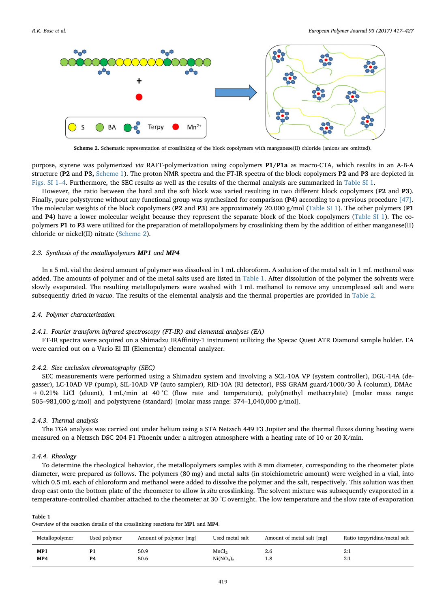<span id="page-3-0"></span>

Scheme 2. Schematic representation of crosslinking of the block copolymers with manganese(II) chloride (anions are omitted).

purpose, styrene was polymerized via RAFT-polymerization using copolymers P1/P1a as macro-CTA, which results in an A-B-A structure (P2 and P3, [Scheme 1](#page-2-0)). The proton NMR spectra and the FT-IR spectra of the block copolymers P2 and P3 are depicted in Figs. SI 1–4. Furthermore, the SEC results as well as the results of the thermal analysis are summarized in Table SI 1.

However, the ratio between the hard and the soft block was varied resulting in two different block copolymers (P2 and P3). Finally, pure polystyrene without any functional group was synthesized for comparison (P4) according to a previous procedure [\[47\].](#page-11-7) The molecular weights of the block copolymers (P2 and P3) are approximately 20.000 g/mol (Table SI 1). The other polymers (P1 and P4) have a lower molecular weight because they represent the separate block of the block copolymers (Table SI 1). The copolymers P1 to P3 were utilized for the preparation of metallopolymers by crosslinking them by the addition of either manganese(II) chloride or nickel(II) nitrate ([Scheme 2](#page-3-0)).

#### 2.3. Synthesis of the metallopolymers MP1 and MP4

In a 5 mL vial the desired amount of polymer was dissolved in 1 mL chloroform. A solution of the metal salt in 1 mL methanol was added. The amounts of polymer and of the metal salts used are listed in [Table 1.](#page-3-1) After dissolution of the polymer the solvents were slowly evaporated. The resulting metallopolymers were washed with 1 mL methanol to remove any uncomplexed salt and were subsequently dried in vacuo. The results of the elemental analysis and the thermal properties are provided in [Table 2.](#page-4-0)

#### 2.4. Polymer characterization

# 2.4.1. Fourier transform infrared spectroscopy (FT-IR) and elemental analyses (EA)

FT-IR spectra were acquired on a Shimadzu IRAffinity-1 instrument utilizing the Specac Quest ATR Diamond sample holder. EA were carried out on a Vario El III (Elementar) elemental analyzer.

### 2.4.2. Size exclusion chromatography (SEC)

SEC measurements were performed using a Shimadzu system and involving a SCL-10A VP (system controller), DGU-14A (degasser), LC-10AD VP (pump), SIL-10AD VP (auto sampler), RID-10A (RI detector), PSS GRAM guard/1000/30 Å (column), DMAc + 0.21% LiCl (eluent), 1 mL/min at 40 °C (flow rate and temperature), poly(methyl methacrylate) [molar mass range: 505–981,000 g/mol] and polystyrene (standard) [molar mass range: 374–1,040,000 g/mol].

# 2.4.3. Thermal analysis

The TGA analysis was carried out under helium using a STA Netzsch 449 F3 Jupiter and the thermal fluxes during heating were measured on a Netzsch DSC 204 F1 Phoenix under a nitrogen atmosphere with a heating rate of 10 or 20 K/min.

#### 2.4.4. Rheology

To determine the rheological behavior, the metallopolymers samples with 8 mm diameter, corresponding to the rheometer plate diameter, were prepared as follows. The polymers (80 mg) and metal salts (in stoichiometric amount) were weighed in a vial, into which 0.5 mL each of chloroform and methanol were added to dissolve the polymer and the salt, respectively. This solution was then drop cast onto the bottom plate of the rheometer to allow in situ crosslinking. The solvent mixture was subsequently evaporated in a temperature-controlled chamber attached to the rheometer at 30 °C overnight. The low temperature and the slow rate of evaporation

<span id="page-3-1"></span>Table 1 Overview of the reaction details of the crosslinking reactions for MP1 and MP4.

| Metallopolymer | Amount of polymer [mg]<br>Used polymer |      | Used metal salt                   | Amount of metal salt [mg] | Ratio terpyridine/metal salt |  |
|----------------|----------------------------------------|------|-----------------------------------|---------------------------|------------------------------|--|
| MP1            | P4                                     | 50.9 | MnCl <sub>2</sub>                 | 2.6                       | 2:1                          |  |
| MP4            |                                        | 50.6 | Ni(NO <sub>3</sub> ) <sub>2</sub> | 1.8                       | 2:1                          |  |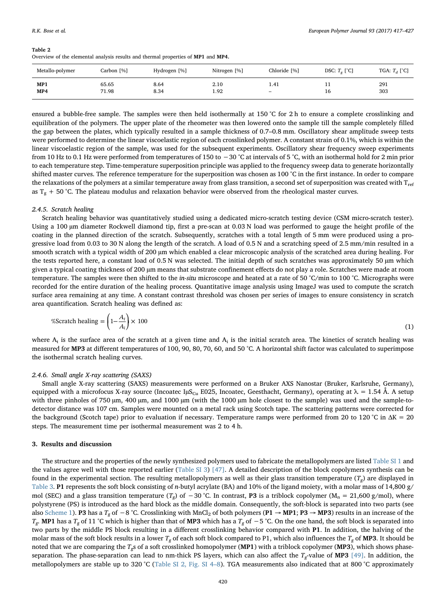<span id="page-4-0"></span> $T<sub>1</sub>$ 

| rapie z |                                                                                   |
|---------|-----------------------------------------------------------------------------------|
|         | Overview of the elemental analysis results and thermal properties of MP1 and MP4. |

| Metallo-polymer | Carbon [%] | Hydrogen [%] | Nitrogen [%] | Chloride [%]             | DSC: $T_e$ [°C] | TGA: $T_d$ [°C] |
|-----------------|------------|--------------|--------------|--------------------------|-----------------|-----------------|
| MP1             | 65.65      | 8.64         | 2.10         | 1.41                     | <b>TT</b>       | 291             |
| MP4             | 71.98      | 8.34         | 1.92         | $\overline{\phantom{m}}$ | 16              | 303             |

ensured a bubble-free sample. The samples were then held isothermally at 150 °C for 2 h to ensure a complete crosslinking and equilibration of the polymers. The upper plate of the rheometer was then lowered onto the sample till the sample completely filled the gap between the plates, which typically resulted in a sample thickness of 0.7–0.8 mm. Oscillatory shear amplitude sweep tests were performed to determine the linear viscoelastic region of each crosslinked polymer. A constant strain of 0.1%, which is within the linear viscoelastic region of the sample, was used for the subsequent experiments. Oscillatory shear frequency sweep experiments from 10 Hz to 0.1 Hz were performed from temperatures of 150 to −30 °C at intervals of 5 °C, with an isothermal hold for 2 min prior to each temperature step. Time-temperature superposition principle was applied to the frequency sweep data to generate horizontally shifted master curves. The reference temperature for the superposition was chosen as 100 °C in the first instance. In order to compare the relaxations of the polymers at a similar temperature away from glass transition, a second set of superposition was created with  $T_{ref}$ as  $T_g$  + 50 °C. The plateau modulus and relaxation behavior were observed from the rheological master curves.

#### 2.4.5. Scratch healing

Scratch healing behavior was quantitatively studied using a dedicated micro-scratch testing device (CSM micro-scratch tester). Using a 100 µm diameter Rockwell diamond tip, first a pre-scan at 0.03 N load was performed to gauge the height profile of the coating in the planned direction of the scratch. Subsequently, scratches with a total length of 5 mm were produced using a progressive load from 0.03 to 30 N along the length of the scratch. A load of 0.5 N and a scratching speed of 2.5 mm/min resulted in a smooth scratch with a typical width of 200 µm which enabled a clear microscopic analysis of the scratched area during healing. For the tests reported here, a constant load of 0.5 N was selected. The initial depth of such scratches was approximately 50  $\mu$ m which given a typical coating thickness of 200 µm means that substrate confinement effects do not play a role. Scratches were made at room temperature. The samples were then shifted to the in-situ microscope and heated at a rate of 50 °C/min to 100 °C. Micrographs were recorded for the entire duration of the healing process. Quantitative image analysis using ImageJ was used to compute the scratch surface area remaining at any time. A constant contrast threshold was chosen per series of images to ensure consistency in scratch area quantification. Scratch healing was defined as:

%Scratch healing = 
$$
\left(1 - \frac{A_t}{A_i}\right) \times 100
$$
 (1)

where  $A_t$  is the surface area of the scratch at a given time and  $A_i$  is the initial scratch area. The kinetics of scratch healing was measured for MP3 at different temperatures of 100, 90, 80, 70, 60, and 50 °C. A horizontal shift factor was calculated to superimpose the isothermal scratch healing curves.

#### 2.4.6. Small angle X-ray scattering (SAXS)

Small angle X-ray scattering (SAXS) measurements were performed on a Bruker AXS Nanostar (Bruker, Karlsruhe, Germany), equipped with a microfocus X-ray source (Incoatec IµS<sub>Cu</sub> E025, Incoatec, Geesthacht, Germany), operating at  $\lambda = 1.54$  Å. A setup with three pinholes of 750 µm, 400 µm, and 1000 µm (with the 1000 µm hole closest to the sample) was used and the sample-todetector distance was 107 cm. Samples were mounted on a metal rack using Scotch tape. The scattering patterns were corrected for the background (Scotch tape) prior to evaluation if necessary. Temperature ramps were performed from 20 to 120 °C in ΔK = 20 steps. The measurement time per isothermal measurement was 2 to 4 h.

#### 3. Results and discussion

The structure and the properties of the newly synthesized polymers used to fabricate the metallopolymers are listed Table SI 1 and the values agree well with those reported earlier (Table SI 3) [\[47\].](#page-11-7) A detailed description of the block copolymers synthesis can be found in the experimental section. The resulting metallopolymers as well as their glass transition temperature  $(T_g)$  are displayed in [Table 3.](#page-5-0) P1 represents the soft block consisting of n-butyl acrylate (BA) and 10% of the ligand moiety, with a molar mass of 14,800 g/ mol (SEC) and a glass transition temperature  $(T_g)$  of −30 °C. In contrast, P3 is a triblock copolymer (M<sub>n</sub> = 21,600 g/mol), where polystyrene (PS) is introduced as the hard block as the middle domain. Consequently, the soft-block is separated into two parts (see also [Scheme 1](#page-2-0)). P3 has a  $T_g$  of −8 °C. Crosslinking with MnCl<sub>2</sub> of both polymers (P1 → MP1; P3 → MP3) results in an increase of the  $T_g$ . MP1 has a  $T_g$  of 11 °C which is higher than that of MP3 which has a  $T_g$  of −5 °C. On the one hand, the soft block is separated into two parts by the middle PS block resulting in a different crosslinking behavior compared with P1. In addition, the halving of the molar mass of the soft block results in a lower  $T_g$  of each soft block compared to P1, which also influences the  $T_g$  of MP3. It should be noted that we are comparing the  $T<sub>g</sub>$ s of a soft crosslinked homopolymer (MP1) with a triblock copolymer (MP3), which shows phaseseparation. The phase-separation can lead to nm-thick PS layers, which can also affect the  $T_g$ -value of MP3 [\[49\]](#page-11-9). In addition, the metallopolymers are stable up to 320 °C (Table SI 2, Fig. SI 4–8). TGA measurements also indicated that at 800 °C approximately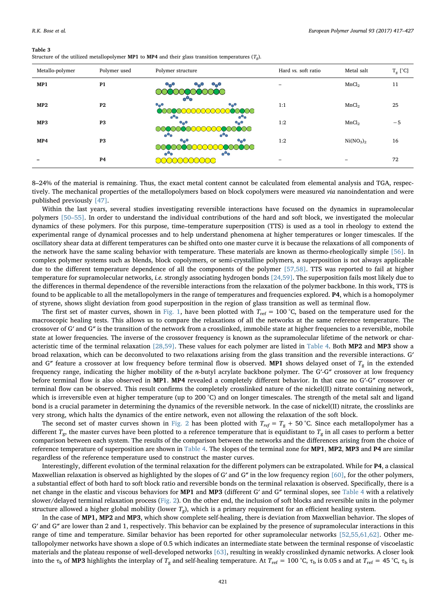#### <span id="page-5-0"></span>Table 3

| Structure of the utilized metallopolymer MP1 to MP4 and their glass transition temperatures $(T_g)$ . |  |  |
|-------------------------------------------------------------------------------------------------------|--|--|
|-------------------------------------------------------------------------------------------------------|--|--|

| Metallo-polymer | Polymer used | Polymer structure                                     | Hard vs. soft ratio      | Metal salt                        | $T_g$ [°C] |
|-----------------|--------------|-------------------------------------------------------|--------------------------|-----------------------------------|------------|
| MP1             | <b>P1</b>    | ممه<br>ىمە                                            | $\overline{\phantom{a}}$ | MnCl <sub>2</sub>                 | 11         |
| MP2             | <b>P2</b>    | $O_{\text{m}}O$<br>0 <sub>n</sub> 0<br>$\infty$<br>۵٩ | 1:1                      | MnCl <sub>2</sub>                 | 25         |
| MP3             | P3           | and<br>مہم<br>$\infty$<br>other<br>m                  | 1:2                      | MnCl <sub>2</sub>                 | $-5$       |
| MP4             | P3           | and<br><b>na</b><br>other<br>m                        | 1:2                      | Ni(NO <sub>3</sub> ) <sub>2</sub> | 16         |
|                 | <b>P4</b>    | $\bigcirc$                                            | -                        | $\overline{\phantom{0}}$          | 72         |

8–24% of the material is remaining. Thus, the exact metal content cannot be calculated from elemental analysis and TGA, respectively. The mechanical properties of the metallopolymers based on block copolymers were measured via nanoindentation and were published previously [\[47\]](#page-11-7).

Within the last years, several studies investigating reversible interactions have focused on the dynamics in supramolecular polymers [\[50](#page-11-10)–55]. In order to understand the individual contributions of the hard and soft block, we investigated the molecular dynamics of these polymers. For this purpose, time–temperature superposition (TTS) is used as a tool in rheology to extend the experimental range of dynamical processes and to help understand phenomena at higher temperatures or longer timescales. If the oscillatory shear data at different temperatures can be shifted onto one master curve it is because the relaxations of all components of the network have the same scaling behavior with temperature. These materials are known as thermo-rheologically simple [\[56\]](#page-11-11). In complex polymer systems such as blends, block copolymers, or semi-crystalline polymers, a superposition is not always applicable due to the different temperature dependence of all the components of the polymer [\[57,58\].](#page-11-12) TTS was reported to fail at higher temperature for supramolecular networks, i.e. strongly associating hydrogen bonds [\[24,59\]](#page-11-0). The superposition fails most likely due to the differences in thermal dependence of the reversible interactions from the relaxation of the polymer backbone. In this work, TTS is found to be applicable to all the metallopolymers in the range of temperatures and frequencies explored. P4, which is a homopolymer of styrene, shows slight deviation from good superposition in the region of glass transition as well as terminal flow.

The first set of master curves, shown in [Fig. 1](#page-6-0), have been plotted with  $T_{\text{ref}} = 100 \degree C$ , based on the temperature used for the macroscopic healing tests. This allows us to compare the relaxations of all the networks at the same reference temperature. The crossover of G′ and G″ is the transition of the network from a crosslinked, immobile state at higher frequencies to a reversible, mobile state at lower frequencies. The inverse of the crossover frequency is known as the supramolecular lifetime of the network or characteristic time of the terminal relaxation [\[28,59\]](#page-11-1). These values for each polymer are listed in [Table 4](#page-7-0). Both MP2 and MP3 show a broad relaxation, which can be deconvoluted to two relaxations arising from the glass transition and the reversible interactions. G′ and G" feature a crossover at low frequency before terminal flow is observed. MP1 shows delayed onset of  $T_g$  in the extended frequency range, indicating the higher mobility of the n-butyl acrylate backbone polymer. The G′-G″ crossover at low frequency before terminal flow is also observed in MP1. MP4 revealed a completely different behavior. In that case no G′-G″ crossover or terminal flow can be observed. This result confirms the completely crosslinked nature of the nickel(II) nitrate containing network, which is irreversible even at higher temperature (up to 200 °C) and on longer timescales. The strength of the metal salt and ligand bond is a crucial parameter in determining the dynamics of the reversible network. In the case of nickel(II) nitrate, the crosslinks are very strong, which halts the dynamics of the entire network, even not allowing the relaxation of the soft block.

The second set of master curves shown in [Fig. 2](#page-7-1) has been plotted with  $T_{ref} = T_g + 50$  °C. Since each metallopolymer has a different  $T_g$ , the master curves have been plotted to a reference temperature that is equidistant to  $T_g$  in all cases to perform a better comparison between each system. The results of the comparison between the networks and the differences arising from the choice of reference temperature of superposition are shown in [Table 4](#page-7-0). The slopes of the terminal zone for MP1, MP2, MP3 and P4 are similar regardless of the reference temperature used to construct the master curves.

Interestingly, different evolution of the terminal relaxation for the different polymers can be extrapolated. While for P4, a classical Maxwellian relaxation is observed as highlighted by the slopes of G' and G" in the low frequency region [\[60\]](#page-11-13), for the other polymers, a substantial effect of both hard to soft block ratio and reversible bonds on the terminal relaxation is observed. Specifically, there is a net change in the elastic and viscous behaviors for MP1 and MP3 (different G′ and G″ terminal slopes, see [Table 4](#page-7-0) with a relatively slower/delayed terminal relaxation process [\(Fig. 2\)](#page-7-1). On the other end, the inclusion of soft blocks and reversible units in the polymer structure allowed a higher global mobility (lower  $T_g$ ), which is a primary requirement for an efficient healing system.

In the case of MP1, MP2 and MP3, which show complete self-healing, there is deviation from Maxwellian behavior. The slopes of G′ and G″ are lower than 2 and 1, respectively. This behavior can be explained by the presence of supramolecular interactions in this range of time and temperature. Similar behavior has been reported for other supramolecular networks [\[52,55,61,62\]](#page-11-14). Other metallopolymer networks have shown a slope of 0.5 which indicates an intermediate state between the terminal response of viscoelastic materials and the plateau response of well-developed networks [\[63\],](#page-11-15) resulting in weakly crosslinked dynamic networks. A closer look into the τ<sub>b</sub> of MP3 highlights the interplay of T<sub>g</sub> and self-healing temperature. At T<sub>ref</sub> = 100 °C, τ<sub>b</sub> is 0.05 s and at T<sub>ref</sub> = 45 °C, τ<sub>b</sub> is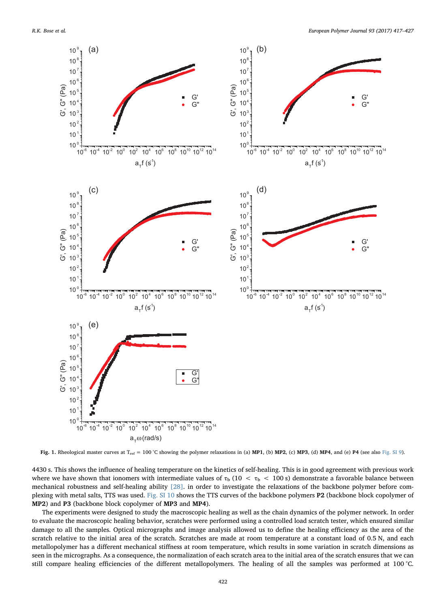<span id="page-6-0"></span>

Fig. 1. Rheological master curves at T<sub>ref</sub> = 100 °C showing the polymer relaxations in (a) MP1, (b) MP2, (c) MP3, (d) MP4, and (e) P4 (see also Fig. SI 9).

4430 s. This shows the influence of healing temperature on the kinetics of self-healing. This is in good agreement with previous work where we have shown that ionomers with intermediate values of  $\tau_b$  (10 <  $\tau_b$  < 100 s) demonstrate a favorable balance between mechanical robustness and self-healing ability [\[28\].](#page-11-1) in order to investigate the relaxations of the backbone polymer before complexing with metal salts, TTS was used. Fig. SI 10 shows the TTS curves of the backbone polymers P2 (backbone block copolymer of MP2) and P3 (backbone block copolymer of MP3 and MP4).

The experiments were designed to study the macroscopic healing as well as the chain dynamics of the polymer network. In order to evaluate the macroscopic healing behavior, scratches were performed using a controlled load scratch tester, which ensured similar damage to all the samples. Optical micrographs and image analysis allowed us to define the healing efficiency as the area of the scratch relative to the initial area of the scratch. Scratches are made at room temperature at a constant load of 0.5 N, and each metallopolymer has a different mechanical stiffness at room temperature, which results in some variation in scratch dimensions as seen in the micrographs. As a consequence, the normalization of each scratch area to the initial area of the scratch ensures that we can still compare healing efficiencies of the different metallopolymers. The healing of all the samples was performed at 100 °C.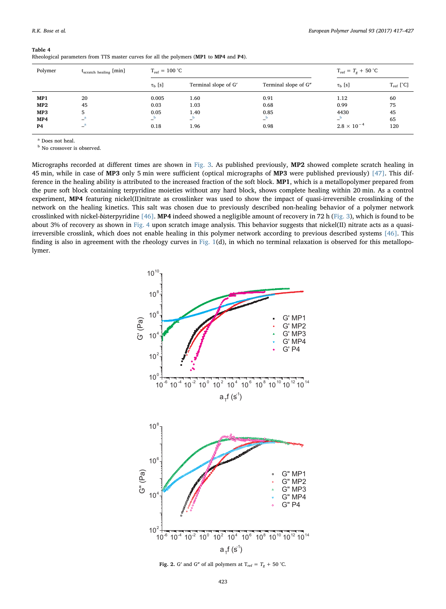<span id="page-7-0"></span>Table 4

| Polymer   | tscratch healing [min] |                           | $T_{ref} = 100 °C$   |                           |                      | $T_{ref} = T_g + 50$ °C |
|-----------|------------------------|---------------------------|----------------------|---------------------------|----------------------|-------------------------|
|           |                        | $\tau_{\rm b}$ [s]        | Terminal slope of G' | Terminal slope of G"      | $\tau_b$ [s]         | $T_{ref}$ [ $°C$ ]      |
| MP1       | 20                     | 0.005                     | 1.60                 | 0.91                      | 1.12                 | 60                      |
| MP2       | 45                     | 0.03                      | 1.03                 | 0.68                      | 0.99                 | 75                      |
| MP3       | 5                      | 0.05                      | 1.40                 | 0.85                      | 4430                 | 45                      |
| MP4       | $\mathbf{a}$           | $\mathbf{L}^{\mathbf{D}}$ | $\mathbf{a}$         | $\mathbf{L}^{\mathbf{b}}$ | $\mathbf{a}$         | 65                      |
| <b>P4</b> | $\mathbf{a}$           | 0.18                      | 1.96                 | 0.98                      | $2.8 \times 10^{-4}$ | 120                     |

| Rheological parameters from TTS master curves for all the polymers (MP1 to MP4 and P4). |  |  |  |
|-----------------------------------------------------------------------------------------|--|--|--|

<span id="page-7-2"></span><sup>a</sup> Does not heal.

<span id="page-7-3"></span>**b** No crossover is observed.

Micrographs recorded at different times are shown in [Fig. 3](#page-8-0). As published previously, MP2 showed complete scratch healing in 45 min, while in case of MP3 only 5 min were sufficient (optical micrographs of MP3 were published previously) [\[47\].](#page-11-7) This difference in the healing ability is attributed to the increased fraction of the soft block. MP1, which is a metallopolymer prepared from the pure soft block containing terpyridine moieties without any hard block, shows complete healing within 20 min. As a control experiment, MP4 featuring nickel(II)nitrate as crosslinker was used to show the impact of quasi-irreversible crosslinking of the network on the healing kinetics. This salt was chosen due to previously described non-healing behavior of a polymer network crosslinked with nickel-bisterpyridine [\[46\].](#page-11-6) MP4 indeed showed a negligible amount of recovery in 72 h ([Fig. 3](#page-8-0)), which is found to be about 3% of recovery as shown in [Fig. 4](#page-8-1) upon scratch image analysis. This behavior suggests that nickel(II) nitrate acts as a quasiirreversible crosslink, which does not enable healing in this polymer network according to previous described systems [\[46\]](#page-11-6). This finding is also in agreement with the rheology curves in Fig.  $1(d)$ , in which no terminal relaxation is observed for this metallopolymer.

<span id="page-7-1"></span>

Fig. 2. G' and G" of all polymers at  $T_{ref} = T_g + 50$  °C.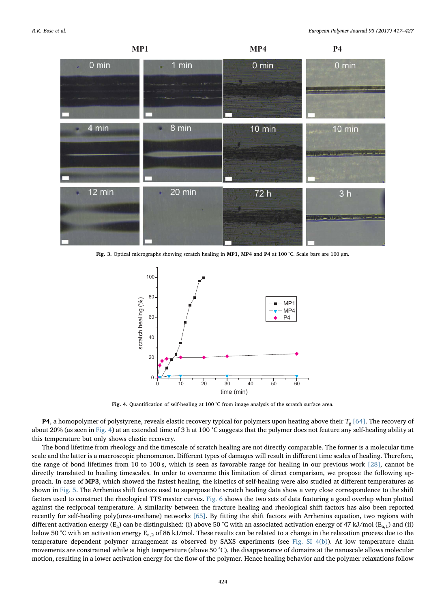<span id="page-8-0"></span>

<span id="page-8-1"></span>Fig. 3. Optical micrographs showing scratch healing in MP1, MP4 and P4 at 100 °C. Scale bars are 100 µm.



Fig. 4. Quantification of self-healing at 100 °C from image analysis of the scratch surface area.

**P4**, a homopolymer of polystyrene, reveals elastic recovery typical for polymers upon heating above their  $T_g$  [\[64\]](#page-11-16). The recovery of about 20% (as seen in [Fig. 4\)](#page-8-1) at an extended time of 3 h at 100 °C suggests that the polymer does not feature any self-healing ability at this temperature but only shows elastic recovery.

The bond lifetime from rheology and the timescale of scratch healing are not directly comparable. The former is a molecular time scale and the latter is a macroscopic phenomenon. Different types of damages will result in different time scales of healing. Therefore, the range of bond lifetimes from 10 to 100 s, which is seen as favorable range for healing in our previous work [\[28\],](#page-11-1) cannot be directly translated to healing timescales. In order to overcome this limitation of direct comparison, we propose the following approach. In case of MP3, which showed the fastest healing, the kinetics of self-healing were also studied at different temperatures as shown in [Fig. 5](#page-9-0). The Arrhenius shift factors used to superpose the scratch healing data show a very close correspondence to the shift factors used to construct the rheological TTS master curves. [Fig. 6](#page-9-1) shows the two sets of data featuring a good overlap when plotted against the reciprocal temperature. A similarity between the fracture healing and rheological shift factors has also been reported recently for self-healing poly(urea-urethane) networks [\[65\]](#page-11-17). By fitting the shift factors with Arrhenius equation, two regions with different activation energy (E<sub>a</sub>) can be distinguished: (i) above 50 °C with an associated activation energy of 47 kJ/mol (E<sub>a,1</sub>) and (ii) below 50 °C with an activation energy  $E_{a,2}$  of 86 kJ/mol. These results can be related to a change in the relaxation process due to the temperature dependent polymer arrangement as observed by SAXS experiments (see Fig. SI 4(b)). At low temperature chain movements are constrained while at high temperature (above 50 °C), the disappearance of domains at the nanoscale allows molecular motion, resulting in a lower activation energy for the flow of the polymer. Hence healing behavior and the polymer relaxations follow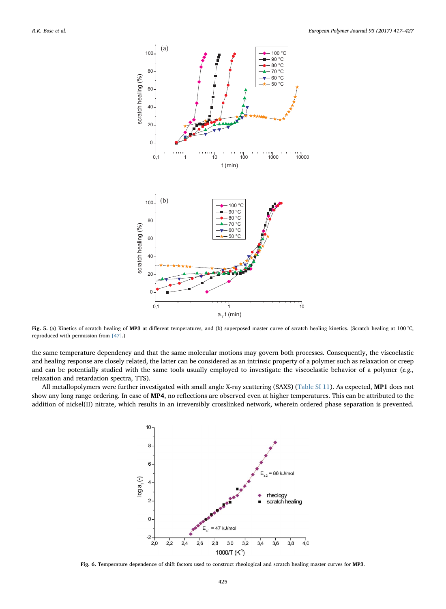<span id="page-9-0"></span>

Fig. 5. (a) Kinetics of scratch healing of MP3 at different temperatures, and (b) superposed master curve of scratch healing kinetics. (Scratch healing at 100 °C, reproduced with permission from [\[47\].](#page-11-7))

the same temperature dependency and that the same molecular motions may govern both processes. Consequently, the viscoelastic and healing response are closely related, the latter can be considered as an intrinsic property of a polymer such as relaxation or creep and can be potentially studied with the same tools usually employed to investigate the viscoelastic behavior of a polymer (e.g., relaxation and retardation spectra, TTS).

<span id="page-9-1"></span>All metallopolymers were further investigated with small angle X-ray scattering (SAXS) (Table SI 11). As expected, MP1 does not show any long range ordering. In case of MP4, no reflections are observed even at higher temperatures. This can be attributed to the addition of nickel(II) nitrate, which results in an irreversibly crosslinked network, wherein ordered phase separation is prevented.



Fig. 6. Temperature dependence of shift factors used to construct rheological and scratch healing master curves for MP3.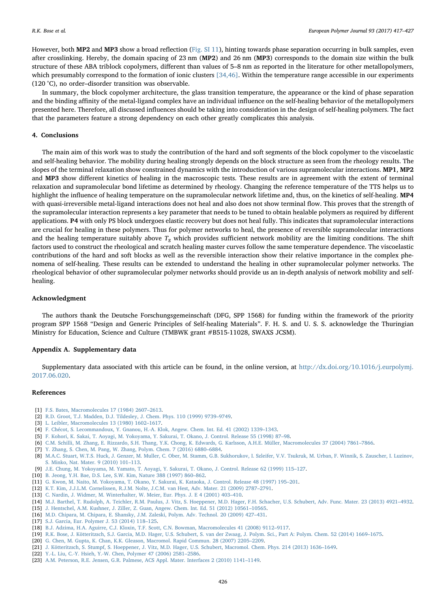However, both MP2 and MP3 show a broad reflection (Fig. SI 11), hinting towards phase separation occurring in bulk samples, even after crosslinking. Hereby, the domain spacing of 23 nm (MP2) and 26 nm (MP3) corresponds to the domain size within the bulk structure of these ABA triblock copolymers, different than values of 5–8 nm as reported in the literature for other metallopolymers, which presumably correspond to the formation of ionic clusters [\[34,46\].](#page-11-18) Within the temperature range accessible in our experiments (120 °C), no order–disorder transition was observable.

In summary, the block copolymer architecture, the glass transition temperature, the appearance or the kind of phase separation and the binding affinity of the metal-ligand complex have an individual influence on the self-healing behavior of the metallopolymers presented here. Therefore, all discussed influences should be taking into consideration in the design of self-healing polymers. The fact that the parameters feature a strong dependency on each other greatly complicates this analysis.

#### 4. Conclusions

The main aim of this work was to study the contribution of the hard and soft segments of the block copolymer to the viscoelastic and self-healing behavior. The mobility during healing strongly depends on the block structure as seen from the rheology results. The slopes of the terminal relaxation show constrained dynamics with the introduction of various supramolecular interactions. MP1, MP2 and MP3 show different kinetics of healing in the macroscopic tests. These results are in agreement with the extent of terminal relaxation and supramolecular bond lifetime as determined by rheology. Changing the reference temperature of the TTS helps us to highlight the influence of healing temperature on the supramolecular network lifetime and, thus, on the kinetics of self-healing. MP4 with quasi-irreversible metal-ligand interactions does not heal and also does not show terminal flow. This proves that the strength of the supramolecular interaction represents a key parameter that needs to be tuned to obtain healable polymers as required by different applications. P4 with only PS block undergoes elastic recovery but does not heal fully. This indicates that supramolecular interactions are crucial for healing in these polymers. Thus for polymer networks to heal, the presence of reversible supramolecular interactions and the healing temperature suitably above  $T<sub>g</sub>$  which provides sufficient network mobility are the limiting conditions. The shift factors used to construct the rheological and scratch healing master curves follow the same temperature dependence. The viscoelastic contributions of the hard and soft blocks as well as the reversible interaction show their relative importance in the complex phenomena of self-healing. These results can be extended to understand the healing in other supramolecular polymer networks. The rheological behavior of other supramolecular polymer networks should provide us an in-depth analysis of network mobility and selfhealing.

## Acknowledgment

The authors thank the Deutsche Forschungsgemeinschaft (DFG, SPP 1568) for funding within the framework of the priority program SPP 1568 "Design and Generic Principles of Self-healing Materials". F. H. S. and U. S. S. acknowledge the Thuringian Ministry for Education, Science and Culture (TMBWK grant #B515-11028, SWAXS JCSM).

#### Appendix A. Supplementary data

Supplementary data associated with this article can be found, in the online version, at [http://dx.doi.org/10.1016/j.eurpolymj.](http://dx.doi.org/10.1016/j.eurpolymj.2017.06.020) [2017.06.020.](http://dx.doi.org/10.1016/j.eurpolymj.2017.06.020)

# References

- <span id="page-10-0"></span>[1] [F.S. Bates, Macromolecules 17 \(1984\) 2607](http://refhub.elsevier.com/S0014-3057(17)30629-8/h0005)–2613.
- [2] [R.D. Groot, T.J. Madden, D.J. Tildesley, J. Chem. Phys. 110 \(1999\) 9739](http://refhub.elsevier.com/S0014-3057(17)30629-8/h0010)–9749.
- [3] [L. Leibler, Macromolecules 13 \(1980\) 1602](http://refhub.elsevier.com/S0014-3057(17)30629-8/h0015)–1617.
- <span id="page-10-1"></span>[4] [F. Chécot, S. Lecommandoux, Y. Gnanou, H.-A. Klok, Angew. Chem. Int. Ed. 41 \(2002\) 1339](http://refhub.elsevier.com/S0014-3057(17)30629-8/h0020)–1343.
- [5] [F. Kohori, K. Sakai, T. Aoyagi, M. Yokoyama, Y. Sakurai, T. Okano, J. Control. Release 55 \(1998\) 87](http://refhub.elsevier.com/S0014-3057(17)30629-8/h0025)–98.
- [6] [C.M. Schilli, M. Zhang, E. Rizzardo, S.H. Thang, Y.K. Chong, K. Edwards, G. Karlsson, A.H.E. Müller, Macromolecules 37 \(2004\) 7861](http://refhub.elsevier.com/S0014-3057(17)30629-8/h0030)–7866.
- [7] [Y. Zhang, S. Chen, M. Pang, W. Zhang, Polym. Chem. 7 \(2016\) 6880](http://refhub.elsevier.com/S0014-3057(17)30629-8/h0035)–6884.
- [8] [M.A.C. Stuart, W.T.S. Huck, J. Genzer, M. Muller, C. Ober, M. Stamm, G.B. Sukhorukov, I. Szleifer, V.V. Tsukruk, M. Urban, F. Winnik, S. Zauscher, I. Luzinov,](http://refhub.elsevier.com/S0014-3057(17)30629-8/h0040) [S. Minko, Nat. Mater. 9 \(2010\) 101](http://refhub.elsevier.com/S0014-3057(17)30629-8/h0040)–113.
- <span id="page-10-2"></span>[9] [J.E. Chung, M. Yokoyama, M. Yamato, T. Aoyagi, Y. Sakurai, T. Okano, J. Control. Release 62 \(1999\) 115](http://refhub.elsevier.com/S0014-3057(17)30629-8/h0045)–127.
- [10] [B. Jeong, Y.H. Bae, D.S. Lee, S.W. Kim, Nature 388 \(1997\) 860](http://refhub.elsevier.com/S0014-3057(17)30629-8/h0050)-862.
- [11] [G. Kwon, M. Naito, M. Yokoyama, T. Okano, Y. Sakurai, K. Kataoka, J. Control. Release 48 \(1997\) 195](http://refhub.elsevier.com/S0014-3057(17)30629-8/h0055)–201.
- <span id="page-10-3"></span>[12] [K.T. Kim, J.J.L.M. Cornelissen, R.J.M. Nolte, J.C.M. van Hest, Adv. Mater. 21 \(2009\) 2787](http://refhub.elsevier.com/S0014-3057(17)30629-8/h0060)–2791.
- [13] [C. Nardin, J. Widmer, M. Winterhalter, W. Meier, Eur. Phys. J. E 4 \(2001\) 403](http://refhub.elsevier.com/S0014-3057(17)30629-8/h0065)–410.
- <span id="page-10-4"></span>[14] [M.J. Barthel, T. Rudolph, A. Teichler, R.M. Paulus, J. Vitz, S. Hoeppener, M.D. Hager, F.H. Schacher, U.S. Schubert, Adv. Func. Mater. 23 \(2013\) 4921](http://refhub.elsevier.com/S0014-3057(17)30629-8/h0070)–4932.
- [15] [J. Hentschel, A.M. Kushner, J. Ziller, Z. Guan, Angew. Chem. Int. Ed. 51 \(2012\) 10561](http://refhub.elsevier.com/S0014-3057(17)30629-8/h0075)–10565.
- [16] [M.D. Chipara, M. Chipara, E. Shansky, J.M. Zaleski, Polym. Adv. Technol. 20 \(2009\) 427](http://refhub.elsevier.com/S0014-3057(17)30629-8/h0080)–431.
- <span id="page-10-5"></span>[17] [S.J. Garcia, Eur. Polymer J. 53 \(2014\) 118](http://refhub.elsevier.com/S0014-3057(17)30629-8/h0085)–125.
- <span id="page-10-6"></span>[18] [B.J. Adzima, H.A. Aguirre, C.J. Kloxin, T.F. Scott, C.N. Bowman, Macromolecules 41 \(2008\) 9112](http://refhub.elsevier.com/S0014-3057(17)30629-8/h0090)–9117.
- [19] [R.K. Bose, J. Kötteritzsch, S.J. Garcia, M.D. Hager, U.S. Schubert, S. van der Zwaag, J. Polym. Sci., Part A: Polym. Chem. 52 \(2014\) 1669](http://refhub.elsevier.com/S0014-3057(17)30629-8/h0095)–1675.
- [20] [G. Chen, M. Gupta, K. Chan, K.K. Gleason, Macromol. Rapid Commun. 28 \(2007\) 2205](http://refhub.elsevier.com/S0014-3057(17)30629-8/h0100)–2209.
- [21] J. [Kötteritzsch, S. Stumpf, S. Hoeppener, J. Vitz, M.D. Hager, U.S. Schubert, Macromol. Chem. Phys. 214 \(2013\) 1636](http://refhub.elsevier.com/S0014-3057(17)30629-8/h0105)–1649.
- [22] [Y.-L. Liu, C.-Y. Hsieh, Y.-W. Chen, Polymer 47 \(2006\) 2581](http://refhub.elsevier.com/S0014-3057(17)30629-8/h0110)–2586.
- [23] [A.M. Peterson, R.E. Jensen, G.R. Palmese, ACS Appl. Mater. Interfaces 2 \(2010\) 1141](http://refhub.elsevier.com/S0014-3057(17)30629-8/h0115)–1149.